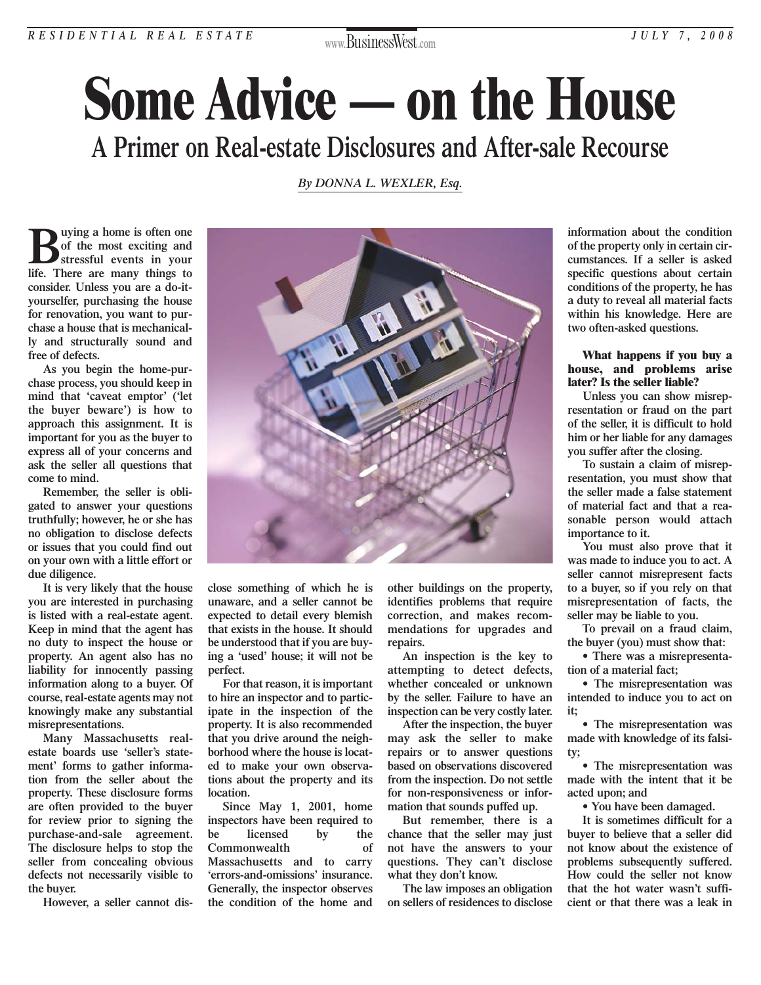## *RESIDENTIAL REAL ESTATE JULY 7, 2008*

**www.**BusinessWest**.com**

# **Some Advice — on the House A Primer on Real-estate Disclosures and After-sale Recourse**

### *[By DONNA L. WEXLER, Esq.](http://www.baconwilson.com/attorney_directory_detail.epl?attorney_id=6)*

**Buying a home is often one**<br>
of the most exciting and<br>
stressful events in your<br>
life There are many things to **of the most exciting and life. There are many things to consider. Unless you are a do-ityourselfer, purchasing the house for renovation, you want to purchase a house that is mechanically and structurally sound and free of defects.**

**As you begin the home-purchase process, you should keep in mind that 'caveat emptor' ('let the buyer beware') is how to approach this assignment. It is important for you as the buyer to express all of your concerns and ask the seller all questions that come to mind.**

**Remember, the seller is obligated to answer your questions truthfully; however, he or she has no obligation to disclose defects or issues that you could find out on your own with a little effort or due diligence.**

**It is very likely that the house you are interested in purchasing is listed with a real-estate agent. Keep in mind that the agent has no duty to inspect the house or property. An agent also has no liability for innocently passing information along to a buyer. Of course, real-estate agents may not knowingly make any substantial misrepresentations.** 

**Many Massachusetts realestate boards use 'seller's statement' forms to gather information from the seller about the property. These disclosure forms are often provided to the buyer for review prior to signing the purchase-and-sale agreement. The disclosure helps to stop the seller from concealing obvious defects not necessarily visible to the buyer.**

**However, a seller cannot dis-**



**close something of which he is unaware, and a seller cannot be expected to detail every blemish that exists in the house. It should be understood that if you are buying a 'used' house; it will not be perfect.**

**For that reason, it is important to hire an inspector and to participate in the inspection of the property. It is also recommended that you drive around the neighborhood where the house is located to make your own observations about the property and its location.**

**Since May 1, 2001, home inspectors have been required to be licensed by the Commonwealth of Massachusetts and to carry 'errors-and-omissions' insurance. Generally, the inspector observes the condition of the home and**

**other buildings on the property, identifies problems that require correction, and makes recommendations for upgrades and repairs.** 

**An inspection is the key to attempting to detect defects, whether concealed or unknown by the seller. Failure to have an inspection can be very costly later.**

**After the inspection, the buyer may ask the seller to make repairs or to answer questions based on observations discovered from the inspection. Do not settle for non-responsiveness or information that sounds puffed up.**

**But remember, there is a chance that the seller may just not have the answers to your questions. They can't disclose what they don't know.**

**The law imposes an obligation on sellers of residences to disclose** **information about the condition of the property only in certain circumstances. If a seller is asked specific questions about certain conditions of the property, he has a duty to reveal all material facts within his knowledge. Here are two often-asked questions.**

#### **What happens if you buy a house, and problems arise later? Is the seller liable?**

**Unless you can show misrepresentation or fraud on the part of the seller, it is difficult to hold him or her liable for any damages you suffer after the closing.**

**To sustain a claim of misrepresentation, you must show that the seller made a false statement of material fact and that a reasonable person would attach importance to it.**

**You must also prove that it was made to induce you to act. A seller cannot misrepresent facts to a buyer, so if you rely on that misrepresentation of facts, the seller may be liable to you.**

**To prevail on a fraud claim, the buyer (you) must show that:**

**• There was a misrepresentation of a material fact;**

**• The misrepresentation was intended to induce you to act on it;**

**• The misrepresentation was made with knowledge of its falsity;**

**• The misrepresentation was made with the intent that it be acted upon; and** 

**• You have been damaged.**

**It is sometimes difficult for a buyer to believe that a seller did not know about the existence of problems subsequently suffered. How could the seller not know that the hot water wasn't sufficient or that there was a leak in**